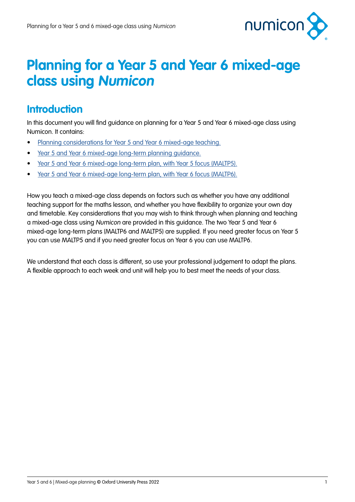

## **Planning for a Year 5 and Year 6 mixed-age class using Numicon**

### **Introduction**

In this document you will find guidance on planning for a Year 5 and Year 6 mixed-age class using Numicon. It contains:

- [Planning considerations for Year 5 and Year 6 mixed-age teaching.](#page-1-0)
- [Year 5 and Year 6 mixed-age long-term planning guidance.](#page-3-0)
- [Year 5 and Year 6 mixed-age long-term plan, with Year 5 focus \(MALTP5\).](#page-5-0)
- [Year 5 and Year 6 mixed-age long-term plan, with Year 6 focus \(MALTP6\).](#page-13-0)

How you teach a mixed-age class depends on factors such as whether you have any additional teaching support for the maths lesson, and whether you have flexibility to organize your own day and timetable. Key considerations that you may wish to think through when planning and teaching a mixed-age class using Numicon are provided in this guidance. The two Year 5 and Year 6 mixed-age long-term plans (MALTP6 and MALTP5) are supplied. If you need greater focus on Year 5 you can use MALTP5 and if you need greater focus on Year 6 you can use MALTP6.

We understand that each class is different, so use your professional judgement to adapt the plans. A flexible approach to each week and unit will help you to best meet the needs of your class.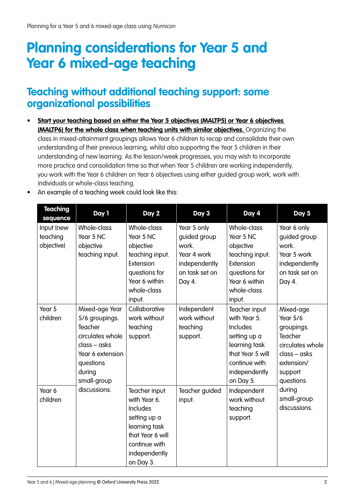# <span id="page-1-0"></span>**Planning considerations for Year 5 and Year 6 mixed-age teaching**

### **Teaching without additional teaching support: some organizational possibilities**

**• Start your teaching based on either the Year 5 objectives (MALTP5) or Year 6 objectives (MALTP6) for the whole class when teaching units with similar objectives.** Organizing the class in mixed-attainment groupings allows Year 6 children to recap and consolidate their own understanding of their previous learning, whilst also supporting the Year 5 children in their understanding of new learning. As the lesson/week progresses, you may wish to incorporate more practice and consolidation time so that when Year 5 children are working independently, you work with the Year 6 children on Year 6 objectives using either guided group work, work with individuals or whole-class teaching.

| <b>Teaching</b><br>sequence          | Day 1                                                                                                                                     | Day 2                                                                                                                                         | Day 3                                                                                            | Day 4                                                                                                                                         | Day 5                                                                                                                             |
|--------------------------------------|-------------------------------------------------------------------------------------------------------------------------------------------|-----------------------------------------------------------------------------------------------------------------------------------------------|--------------------------------------------------------------------------------------------------|-----------------------------------------------------------------------------------------------------------------------------------------------|-----------------------------------------------------------------------------------------------------------------------------------|
| Input (new<br>teaching<br>objective) | Whole-class<br>Year 5 NC<br>objective<br>teaching input.                                                                                  | Whole-class<br>Year 5 NC<br>objective<br>teaching input.<br>Extension<br>questions for<br>Year 6 within<br>whole-class<br>input.              | Year 5 only<br>guided group<br>work.<br>Year 4 work<br>independently<br>on task set on<br>Day 4. | Whole-class<br>Year 5 NC<br>objective<br>teaching input.<br>Extension<br>questions for<br>Year 6 within<br>whole-class<br>input.              | Year 6 only<br>guided group<br>work.<br>Year 5 work<br>independently<br>on task set on<br>Day 4.                                  |
| Year 5<br>children                   | Mixed-age Year<br>5/6 groupings.<br>Teacher<br>circulates whole<br>class - asks<br>Year 6 extension<br>questions<br>during<br>small-group | Collaborative<br>work without<br>teaching<br>support.                                                                                         | Independent<br>work without<br>teaching<br>support.                                              | Teacher input<br>with Year 5.<br>Includes<br>setting up a<br>learning task<br>that Year 5 will<br>continue with<br>independently<br>on Day 5. | Mixed-age<br><b>Year 5/6</b><br>groupings.<br>Teacher<br>circulates whole<br>$class - asks$<br>extension/<br>support<br>questions |
| Year 6<br>children                   | discussions.                                                                                                                              | Teacher input<br>with Year 6.<br>Includes<br>setting up a<br>learning task<br>that Year 6 will<br>continue with<br>independently<br>on Day 3. | Teacher guided<br>input.                                                                         | Independent<br>work without<br>teaching<br>support.                                                                                           | during<br>small-group<br>discussions.                                                                                             |

• An example of a teaching week could look like this: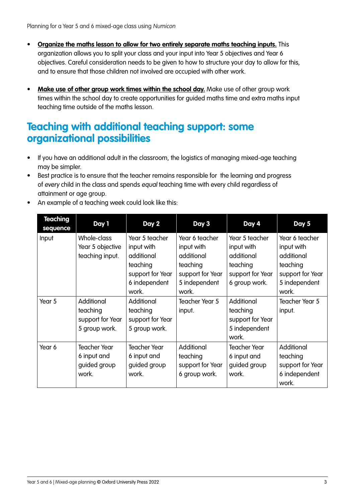- **• Organize the maths lesson to allow for two entirely separate maths teaching inputs.** This organization allows you to split your class and your input into Year 5 objectives and Year 6 objectives. Careful consideration needs to be given to how to structure your day to allow for this, and to ensure that those children not involved are occupied with other work.
- **• Make use of other group work times within the school day.** Make use of other group work times within the school day to create opportunities for guided maths time and extra maths input teaching time outside of the maths lesson.

### **Teaching with additional teaching support: some organizational possibilities**

- If you have an additional adult in the classroom, the logistics of managing mixed-age teaching may be simpler.
- Best practice is to ensure that the teacher remains responsible for the learning and progress of every child in the class and spends equal teaching time with every child regardless of attainment or age group.
- An example of a teaching week could look like this:

| Teaching<br>sequence | Day 1                                                       | Day 2                                                                                                | Day 3                                                                                                | Day 4                                                                                       | Day 5                                                                                                |
|----------------------|-------------------------------------------------------------|------------------------------------------------------------------------------------------------------|------------------------------------------------------------------------------------------------------|---------------------------------------------------------------------------------------------|------------------------------------------------------------------------------------------------------|
| Input                | Whole-class<br>Year 5 objective<br>teaching input.          | Year 5 teacher<br>input with<br>additional<br>teaching<br>support for Year<br>6 independent<br>work. | Year 6 teacher<br>input with<br>additional<br>teaching<br>support for Year<br>5 independent<br>work. | Year 5 teacher<br>input with<br>additional<br>teaching<br>support for Year<br>6 group work. | Year 6 teacher<br>input with<br>additional<br>teaching<br>support for Year<br>5 independent<br>work. |
| Year 5               | Additional<br>teaching<br>support for Year<br>5 group work. | Additional<br>teaching<br>support for Year<br>5 group work.                                          | Teacher Year 5<br>input.                                                                             | Additional<br>teaching<br>support for Year<br>5 independent<br>work.                        | Teacher Year 5<br>input.                                                                             |
| Year 6               | <b>Teacher Year</b><br>6 input and<br>guided group<br>work. | <b>Teacher Year</b><br>6 input and<br>guided group<br>work.                                          | Additional<br>teaching<br>support for Year<br>6 group work.                                          | <b>Teacher Year</b><br>6 input and<br>guided group<br>work.                                 | Additional<br>teaching<br>support for Year<br>6 independent<br>work.                                 |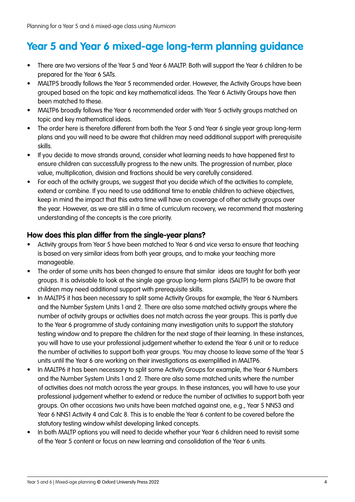### <span id="page-3-0"></span>**Year 5 and Year 6 mixed-age long-term planning guidance**

- There are two versions of the Year 5 and Year 6 MALTP. Both will support the Year 6 children to be prepared for the Year 6 SATs.
- MALTP5 broadly follows the Year 5 recommended order. However, the Activity Groups have been grouped based on the topic and key mathematical ideas. The Year 6 Activity Groups have then been matched to these.
- MALTP6 broadly follows the Year 6 recommended order with Year 5 activity groups matched on topic and key mathematical ideas.
- The order here is therefore different from both the Year 5 and Year 6 single year group long-term plans and you will need to be aware that children may need additional support with prerequisite skills.
- If you decide to move strands around, consider what learning needs to have happened first to ensure children can successfully progress to the new units. The progression of number, place value, multiplication, division and fractions should be very carefully considered.
- For each of the activity groups, we suggest that you decide which of the activities to complete, extend or combine. If you need to use additional time to enable children to achieve objectives, keep in mind the impact that this extra time will have on coverage of other activity groups over the year. However, as we are still in a time of curriculum recovery, we recommend that mastering understanding of the concepts is the core priority.

#### **How does this plan differ from the single-year plans?**

- Activity groups from Year 5 have been matched to Year 6 and vice versa to ensure that teaching is based on very similar ideas from both year groups, and to make your teaching more manageable.
- The order of some units has been changed to ensure that similar ideas are taught for both year groups. It is advisable to look at the single age group long-term plans (SALTP) to be aware that children may need additional support with prerequisite skills.
- In MALTP5 it has been necessary to split some Activity Groups for example, the Year 6 Numbers and the Number System Units 1 and 2. There are also some matched activity groups where the number of activity groups or activities does not match across the year groups. This is partly due to the Year 6 programme of study containing many investigation units to support the statutory testing window and to prepare the children for the next stage of their learning. In these instances, you will have to use your professional judgement whether to extend the Year 6 unit or to reduce the number of activities to support both year groups. You may choose to leave some of the Year 5 units until the Year 6 are working on their investigations as exemplified in MALTP6.
- In MALTP6 it has been necessary to split some Activity Groups for example, the Year 6 Numbers and the Number System Units 1 and 2. There are also some matched units where the number of activities does not match across the year groups. In these instances, you will have to use your professional judgement whether to extend or reduce the number of activities to support both year groups. On other occasions two units have been matched against one, e.g., Year 5 NNS3 and Year 6 NNS1 Activity 4 and Calc 8. This is to enable the Year 6 content to be covered before the statutory testing window whilst developing linked concepts.
- In both MALTP options you will need to decide whether your Year 6 children need to revisit some of the Year 5 content or focus on new learning and consolidation of the Year 6 units.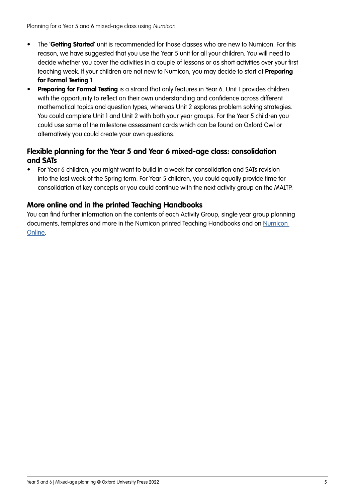- The '**Getting Started**' unit is recommended for those classes who are new to Numicon. For this reason, we have suggested that you use the Year 5 unit for all your children. You will need to decide whether you cover the activities in a couple of lessons or as short activities over your first teaching week. If your children are not new to Numicon, you may decide to start at **Preparing for Formal Testing 1**.
- **• Preparing for Formal Testing** is a strand that only features in Year 6. Unit 1 provides children with the opportunity to reflect on their own understanding and confidence across different mathematical topics and question types, whereas Unit 2 explores problem solving strategies. You could complete Unit 1 and Unit 2 with both your year groups. For the Year 5 children you could use some of the milestone assessment cards which can be found on Oxford Owl or alternatively you could create your own questions.

#### **Flexible planning for the Year 5 and Year 6 mixed-age class: consolidation and SATs**

• For Year 6 children, you might want to build in a week for consolidation and SATs revision into the last week of the Spring term. For Year 5 children, you could equally provide time for consolidation of key concepts or you could continue with the next activity group on the MALTP.

#### **More online and in the printed Teaching Handbooks**

You can find further information on the contents of each Activity Group, single year group planning documents, templates and more in the [Numicon](https://www.oxfordowl.co.uk/login?active-tab=teachers) printed Teaching Handbooks and on Numicon [Online.](https://www.oxfordowl.co.uk/login?active-tab=teachers)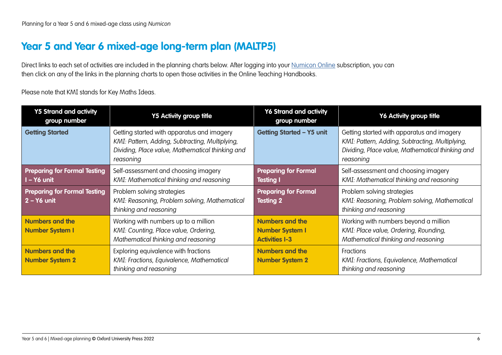### <span id="page-5-0"></span>**Year 5 and Year 6 mixed-age long-term plan (MALTP5)**

Direct links to each set of activities are included in the planning charts below. After logging into your [Numicon Online](https://www.oxfordowl.co.uk/login?active-tab=teachers) subscription, you can then click on any of the links in the planning charts to open those activities in the Online Teaching Handbooks.

Please note that KMI stands for Key Maths Ideas.

| <b>Y5 Strand and activity</b><br>group number        | <b>Y5 Activity group title</b>                                                                                                                                 | <b>Y6 Strand and activity</b><br>group number                             | Y6 Activity group title                                                                                                                                        |
|------------------------------------------------------|----------------------------------------------------------------------------------------------------------------------------------------------------------------|---------------------------------------------------------------------------|----------------------------------------------------------------------------------------------------------------------------------------------------------------|
| <b>Getting Started</b>                               | Getting started with apparatus and imagery<br>KMI: Pattern, Adding, Subtracting, Multiplying,<br>Dividing, Place value, Mathematical thinking and<br>reasoning | <b>Getting Started - Y5 unit</b>                                          | Getting started with apparatus and imagery<br>KMI: Pattern, Adding, Subtracting, Multiplying,<br>Dividing, Place value, Mathematical thinking and<br>reasoning |
| <b>Preparing for Formal Testing</b><br>I - Y6 unit   | Self-assessment and choosing imagery<br>KMI: Mathematical thinking and reasoning                                                                               | <b>Preparing for Formal</b><br><b>Testing I</b>                           | Self-assessment and choosing imagery<br>KMI: Mathematical thinking and reasoning                                                                               |
| <b>Preparing for Formal Testing</b><br>$2 - Y6$ unit | Problem solving strategies<br>KMI: Reasoning, Problem solving, Mathematical<br>thinking and reasoning                                                          | <b>Preparing for Formal</b><br><b>Testing 2</b>                           | Problem solving strategies<br>KMI: Reasoning, Problem solving, Mathematical<br>thinking and reasoning                                                          |
| <b>Numbers and the</b><br><b>Number System I</b>     | Working with numbers up to a million<br>KMI: Counting, Place value, Ordering,<br>Mathematical thinking and reasoning                                           | <b>Numbers and the</b><br><b>Number System I</b><br><b>Activities I-3</b> | Working with numbers beyond a million<br>KMI: Place value, Ordering, Rounding,<br>Mathematical thinking and reasoning                                          |
| <b>Numbers and the</b><br><b>Number System 2</b>     | Exploring equivalence with fractions<br>KMI: Fractions, Equivalence, Mathematical<br>thinking and reasoning                                                    | <b>Numbers and the</b><br><b>Number System 2</b>                          | <b>Fractions</b><br>KMI: Fractions, Equivalence, Mathematical<br>thinking and reasoning                                                                        |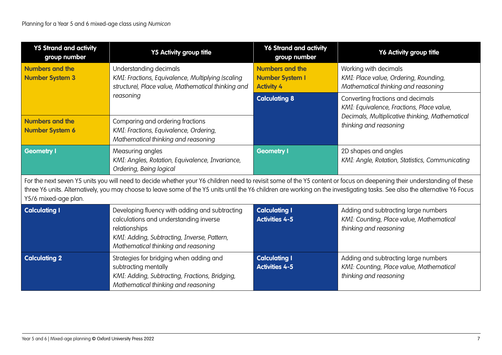| <b>Y5 Strand and activity</b><br>group number    | <b>Y5 Activity group title</b>                                                                                                                                                                                                                                                                                                                        | <b>Y6 Strand and activity</b><br>group number                         | Y6 Activity group title                                                                                    |  |  |
|--------------------------------------------------|-------------------------------------------------------------------------------------------------------------------------------------------------------------------------------------------------------------------------------------------------------------------------------------------------------------------------------------------------------|-----------------------------------------------------------------------|------------------------------------------------------------------------------------------------------------|--|--|
| <b>Numbers and the</b><br><b>Number System 3</b> | Understanding decimals<br>KMI: Fractions, Equivalence, Multiplying (scaling<br>structure), Place value, Mathematical thinking and                                                                                                                                                                                                                     | <b>Numbers and the</b><br><b>Number System I</b><br><b>Activity 4</b> | Working with decimals<br>KMI: Place value, Ordering, Rounding,<br>Mathematical thinking and reasoning      |  |  |
|                                                  | reasoning                                                                                                                                                                                                                                                                                                                                             | <b>Calculating 8</b>                                                  | Converting fractions and decimals<br>KMI: Equivalence, Fractions, Place value,                             |  |  |
| <b>Numbers and the</b><br><b>Number System 6</b> | Comparing and ordering fractions<br>KMI: Fractions, Equivalence, Ordering,<br>Mathematical thinking and reasoning                                                                                                                                                                                                                                     |                                                                       | Decimals, Multiplicative thinking, Mathematical<br>thinking and reasoning                                  |  |  |
| <b>Geometry I</b>                                | Measuring angles<br>KMI: Angles, Rotation, Equivalence, Invariance,<br>Ordering, Being logical                                                                                                                                                                                                                                                        | <b>Geometry I</b>                                                     | 2D shapes and angles<br>KMI: Angle, Rotation, Statistics, Communicating                                    |  |  |
| Y5/6 mixed-age plan.                             | For the next seven Y5 units you will need to decide whether your Y6 children need to revisit some of the Y5 content or focus on deepening their understanding of these<br>three Y6 units. Alternatively, you may choose to leave some of the Y5 units until the Y6 children are working on the investigating tasks. See also the alternative Y6 Focus |                                                                       |                                                                                                            |  |  |
| <b>Calculating I</b>                             | Developing fluency with adding and subtracting<br>calculations and understanding inverse<br>relationships<br>KMI: Adding, Subtracting, Inverse, Pattern,<br>Mathematical thinking and reasoning                                                                                                                                                       | <b>Calculating I</b><br><b>Activities 4-5</b>                         | Adding and subtracting large numbers<br>KMI: Counting, Place value, Mathematical<br>thinking and reasoning |  |  |
| <b>Calculating 2</b>                             | Strategies for bridging when adding and<br>subtracting mentally<br>KMI: Adding, Subtracting, Fractions, Bridging,<br>Mathematical thinking and reasoning                                                                                                                                                                                              | <b>Calculating I</b><br><b>Activities 4-5</b>                         | Adding and subtracting large numbers<br>KMI: Counting, Place value, Mathematical<br>thinking and reasoning |  |  |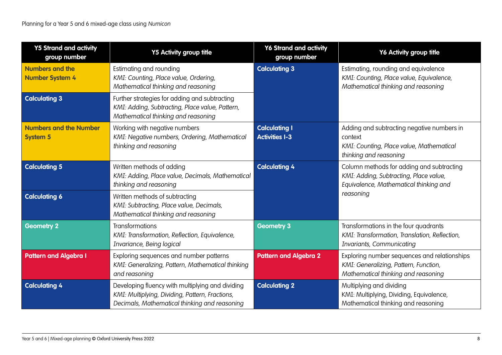| <b>Y5 Strand and activity</b><br>group number    | <b>Y5 Activity group title</b>                                                                                                                       | <b>Y6 Strand and activity</b><br>group number | Y6 Activity group title                                                                                                       |
|--------------------------------------------------|------------------------------------------------------------------------------------------------------------------------------------------------------|-----------------------------------------------|-------------------------------------------------------------------------------------------------------------------------------|
| <b>Numbers and the</b><br><b>Number System 4</b> | Estimating and rounding<br>KMI: Counting, Place value, Ordering,<br>Mathematical thinking and reasoning                                              | <b>Calculating 3</b>                          | Estimating, rounding and equivalence<br>KMI: Counting, Place value, Equivalence,<br>Mathematical thinking and reasoning       |
| <b>Calculating 3</b>                             | Further strategies for adding and subtracting<br>KMI: Adding, Subtracting, Place value, Pattern,<br>Mathematical thinking and reasoning              |                                               |                                                                                                                               |
| <b>Numbers and the Number</b><br><b>System 5</b> | Working with negative numbers<br>KMI: Negative numbers, Ordering, Mathematical<br>thinking and reasoning                                             | <b>Calculating I</b><br><b>Activities I-3</b> | Adding and subtracting negative numbers in<br>context<br>KMI: Counting, Place value, Mathematical<br>thinking and reasoning   |
| <b>Calculating 5</b>                             | Written methods of adding<br>KMI: Adding, Place value, Decimals, Mathematical<br>thinking and reasoning                                              | <b>Calculating 4</b>                          | Column methods for adding and subtracting<br>KMI: Adding, Subtracting, Place value,<br>Equivalence, Mathematical thinking and |
| <b>Calculating 6</b>                             | Written methods of subtracting<br>KMI: Subtracting, Place value, Decimals,<br>Mathematical thinking and reasoning                                    |                                               | reasoning                                                                                                                     |
| <b>Geometry 2</b>                                | <b>Transformations</b><br>KMI: Transformation, Reflection, Equivalence,<br>Invariance, Being logical                                                 | <b>Geometry 3</b>                             | Transformations in the four quadrants<br>KMI: Transformation, Translation, Reflection,<br>Invariants, Communicating           |
| <b>Pattern and Algebra I</b>                     | Exploring sequences and number patterns<br>KMI: Generalizing, Pattern, Mathematical thinking<br>and reasoning                                        | <b>Pattern and Algebra 2</b>                  | Exploring number sequences and relationships<br>KMI: Generalizing, Pattern, Function,<br>Mathematical thinking and reasoning  |
| <b>Calculating 4</b>                             | Developing fluency with multiplying and dividing<br>KMI: Multiplying, Dividing, Pattern, Fractions,<br>Decimals, Mathematical thinking and reasoning | <b>Calculating 2</b>                          | Multiplying and dividing<br>KMI: Multiplying, Dividing, Equivalence,<br>Mathematical thinking and reasoning                   |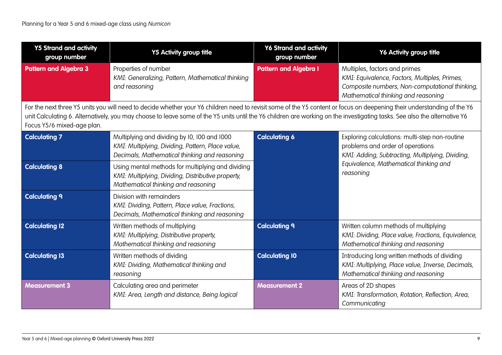| <b>Y5 Strand and activity</b><br>group number | <b>Y5 Activity group title</b>                                                                                                                                                                                                                                                                                                                       | <b>Y6 Strand and activity</b><br>group number | Y6 Activity group title                                                                                                                                                 |
|-----------------------------------------------|------------------------------------------------------------------------------------------------------------------------------------------------------------------------------------------------------------------------------------------------------------------------------------------------------------------------------------------------------|-----------------------------------------------|-------------------------------------------------------------------------------------------------------------------------------------------------------------------------|
| <b>Pattern and Algebra 3</b>                  | Properties of number<br>KMI: Generalizing, Pattern, Mathematical thinking<br>and reasoning                                                                                                                                                                                                                                                           | <b>Pattern and Algebra I</b>                  | Multiples, factors and primes<br>KMI: Equivalence, Factors, Multiples, Primes,<br>Composite numbers, Non-computational thinking,<br>Mathematical thinking and reasoning |
| Focus Y5/6 mixed-age plan.                    | For the next three Y5 units you will need to decide whether your Y6 children need to revisit some of the Y5 content or focus on deepening their understanding of the Y6<br>unit Calculating 6. Alternatively, you may choose to leave some of the Y5 units until the Y6 children are working on the investigating tasks. See also the alternative Y6 |                                               |                                                                                                                                                                         |
| <b>Calculating 7</b>                          | Multiplying and dividing by 10, 100 and 1000<br>KMI: Multiplying, Dividing, Pattern, Place value,<br>Decimals, Mathematical thinking and reasoning                                                                                                                                                                                                   | <b>Calculating 6</b>                          | Exploring calculations: multi-step non-routine<br>problems and order of operations<br>KMI: Adding, Subtracting, Multiplying, Dividing,                                  |
| <b>Calculating 8</b>                          | Using mental methods for multiplying and dividing<br>KMI: Multiplying, Dividing, Distributive property,<br>Mathematical thinking and reasoning                                                                                                                                                                                                       |                                               | Equivalence, Mathematical thinking and<br>reasoning                                                                                                                     |
| <b>Calculating 9</b>                          | Division with remainders<br>KMI: Dividing, Pattern, Place value, Fractions,<br>Decimals, Mathematical thinking and reasoning                                                                                                                                                                                                                         |                                               |                                                                                                                                                                         |
| <b>Calculating 12</b>                         | Written methods of multiplying<br>KMI: Multiplying, Distributive property,<br>Mathematical thinking and reasoning                                                                                                                                                                                                                                    | <b>Calculating 9</b>                          | Written column methods of multiplying<br>KMI: Dividing, Place value, Fractions, Equivalence,<br>Mathematical thinking and reasoning                                     |
| <b>Calculating 13</b>                         | Written methods of dividing<br>KMI: Dividing, Mathematical thinking and<br>reasoning                                                                                                                                                                                                                                                                 | <b>Calculating 10</b>                         | Introducing long written methods of dividing<br>KMI: Multiplying, Place value, Inverse, Decimals,<br>Mathematical thinking and reasoning                                |
| <b>Measurement 3</b>                          | Calculating area and perimeter<br>KMI: Area, Length and distance, Being logical                                                                                                                                                                                                                                                                      | <b>Measurement 2</b>                          | Areas of 2D shapes<br>KMI: Transformation, Rotation, Reflection, Area,<br>Communicating                                                                                 |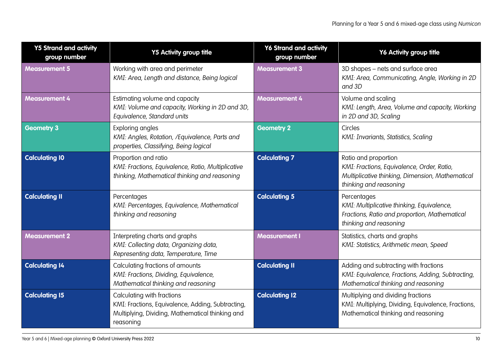| <b>Y5 Strand and activity</b><br>group number | <b>Y5 Activity group title</b>                                                                                                                   | <b>Y6 Strand and activity</b><br>group number | Y6 Activity group title                                                                                                                          |
|-----------------------------------------------|--------------------------------------------------------------------------------------------------------------------------------------------------|-----------------------------------------------|--------------------------------------------------------------------------------------------------------------------------------------------------|
| <b>Measurement 5</b>                          | Working with area and perimeter<br>KMI: Area, Length and distance, Being logical                                                                 | <b>Measurement 3</b>                          | 3D shapes - nets and surface area<br>KMI: Area, Communicating, Angle, Working in 2D<br>and 3D                                                    |
| <b>Measurement 4</b>                          | Estimating volume and capacity<br>KMI: Volume and capacity, Working in 2D and 3D,<br>Equivalence, Standard units                                 | <b>Measurement 4</b>                          | Volume and scaling<br>KMI: Length, Area, Volume and capacity, Working<br>in 2D and 3D, Scaling                                                   |
| <b>Geometry 3</b>                             | Exploring angles<br>KMI: Angles, Rotation, /Equivalence, Parts and<br>properties, Classifying, Being logical                                     | <b>Geometry 2</b>                             | Circles<br>KMI: Invariants, Statistics, Scaling                                                                                                  |
| <b>Calculating 10</b>                         | Proportion and ratio<br>KMI: Fractions, Equivalence, Ratio, Multiplicative<br>thinking, Mathematical thinking and reasoning                      | <b>Calculating 7</b>                          | Ratio and proportion<br>KMI: Fractions, Equivalence, Order, Ratio,<br>Multiplicative thinking, Dimension, Mathematical<br>thinking and reasoning |
| <b>Calculating II</b>                         | Percentages<br>KMI: Percentages, Equivalence, Mathematical<br>thinking and reasoning                                                             | <b>Calculating 5</b>                          | Percentages<br>KMI: Multiplicative thinking, Equivalence,<br>Fractions, Ratio and proportion, Mathematical<br>thinking and reasoning             |
| <b>Measurement 2</b>                          | Interpreting charts and graphs<br>KMI: Collecting data, Organizing data,<br>Representing data, Temperature, Time                                 | <b>Measurement I</b>                          | Statistics, charts and graphs<br>KMI: Statistics, Arithmetic mean, Speed                                                                         |
| <b>Calculating 14</b>                         | Calculating fractions of amounts<br>KMI: Fractions, Dividing, Equivalence,<br>Mathematical thinking and reasoning                                | <b>Calculating II</b>                         | Adding and subtracting with fractions<br>KMI: Equivalence, Fractions, Adding, Subtracting,<br>Mathematical thinking and reasoning                |
| <b>Calculating 15</b>                         | Calculating with fractions<br>KMI: Fractions, Equivalence, Adding, Subtracting,<br>Multiplying, Dividing, Mathematical thinking and<br>reasoning | <b>Calculating 12</b>                         | Multiplying and dividing fractions<br>KMI: Multiplying, Dividing, Equivalence, Fractions,<br>Mathematical thinking and reasoning                 |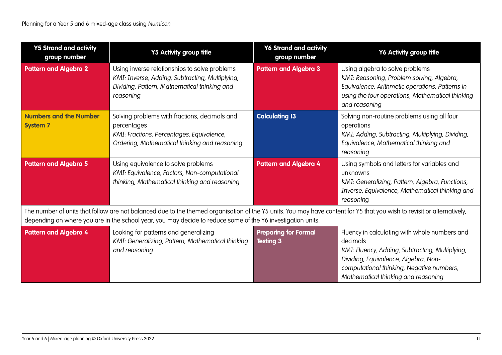| <b>Y5 Strand and activity</b><br>group number    | <b>Y5 Activity group title</b>                                                                                                                                                                                                                                                         | <b>Y6 Strand and activity</b><br>group number   | Y6 Activity group title                                                                                                                                                                                                                  |  |  |
|--------------------------------------------------|----------------------------------------------------------------------------------------------------------------------------------------------------------------------------------------------------------------------------------------------------------------------------------------|-------------------------------------------------|------------------------------------------------------------------------------------------------------------------------------------------------------------------------------------------------------------------------------------------|--|--|
| <b>Pattern and Algebra 2</b>                     | Using inverse relationships to solve problems<br>KMI: Inverse, Adding, Subtracting, Multiplying,<br>Dividing, Pattern, Mathematical thinking and<br>reasoning                                                                                                                          | <b>Pattern and Algebra 3</b>                    | Using algebra to solve problems<br>KMI: Reasoning, Problem solving, Algebra,<br>Equivalence, Arithmetic operations, Patterns in<br>using the four operations, Mathematical thinking<br>and reasoning                                     |  |  |
| <b>Numbers and the Number</b><br><b>System 7</b> | Solving problems with fractions, decimals and<br>percentages<br>KMI: Fractions, Percentages, Equivalence,<br>Ordering, Mathematical thinking and reasoning                                                                                                                             | <b>Calculating 13</b>                           | Solving non-routine problems using all four<br>operations<br>KMI: Adding, Subtracting, Multiplying, Dividing,<br>Equivalence, Mathematical thinking and<br>reasoning                                                                     |  |  |
| <b>Pattern and Algebra 5</b>                     | Using equivalence to solve problems<br>KMI: Equivalence, Factors, Non-computational<br>thinking, Mathematical thinking and reasoning                                                                                                                                                   | <b>Pattern and Algebra 4</b>                    | Using symbols and letters for variables and<br>unknowns<br>KMI: Generalizing, Pattern, Algebra, Functions,<br>Inverse, Equivalence, Mathematical thinking and<br>reasoning                                                               |  |  |
|                                                  | The number of units that follow are not balanced due to the themed organisation of the Y5 units. You may have content for Y5 that you wish to revisit or alternatively,<br>depending on where you are in the school year, you may decide to reduce some of the Y6 investigation units. |                                                 |                                                                                                                                                                                                                                          |  |  |
| <b>Pattern and Algebra 4</b>                     | Looking for patterns and generalizing<br>KMI: Generalizing, Pattern, Mathematical thinking<br>and reasoning                                                                                                                                                                            | <b>Preparing for Formal</b><br><b>Testing 3</b> | Fluency in calculating with whole numbers and<br>decimals<br>KMI: Fluency, Adding, Subtracting, Multiplying,<br>Dividing, Equivalence, Algebra, Non-<br>computational thinking, Negative numbers,<br>Mathematical thinking and reasoning |  |  |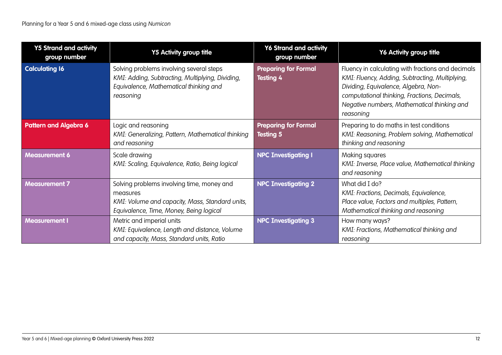| <b>Y5 Strand and activity</b><br>group number | <b>Y5 Activity group title</b>                                                                                                                       | <b>Y6 Strand and activity</b><br>group number   | Y6 Activity group title                                                                                                                                                                                                                                   |
|-----------------------------------------------|------------------------------------------------------------------------------------------------------------------------------------------------------|-------------------------------------------------|-----------------------------------------------------------------------------------------------------------------------------------------------------------------------------------------------------------------------------------------------------------|
| <b>Calculating 16</b>                         | Solving problems involving several steps<br>KMI: Adding, Subtracting, Multiplying, Dividing,<br>Equivalence, Mathematical thinking and<br>reasoning  | <b>Preparing for Formal</b><br><b>Testing 4</b> | Fluency in calculating with fractions and decimals<br>KMI: Fluency, Adding, Subtracting, Multiplying,<br>Dividing, Equivalence, Algebra, Non-<br>computational thinking, Fractions, Decimals,<br>Negative numbers, Mathematical thinking and<br>reasoning |
| <b>Pattern and Algebra 6</b>                  | Logic and reasoning<br>KMI: Generalizing, Pattern, Mathematical thinking<br>and reasoning                                                            | <b>Preparing for Formal</b><br><b>Testing 5</b> | Preparing to do maths in test conditions<br>KMI: Reasoning, Problem solving, Mathematical<br>thinking and reasoning                                                                                                                                       |
| <b>Measurement 6</b>                          | Scale drawing<br>KMI: Scaling, Equivalence, Ratio, Being logical                                                                                     | <b>NPC Investigating I</b>                      | Making squares<br>KMI: Inverse, Place value, Mathematical thinking<br>and reasoning                                                                                                                                                                       |
| <b>Measurement 7</b>                          | Solving problems involving time, money and<br>measures<br>KMI: Volume and capacity, Mass, Standard units,<br>Equivalence, Time, Money, Being logical | <b>NPC Investigating 2</b>                      | What did I do?<br>KMI: Fractions, Decimals, Equivalence,<br>Place value, Factors and multiples, Pattern,<br>Mathematical thinking and reasoning                                                                                                           |
| <b>Measurement I</b>                          | Metric and imperial units<br>KMI: Equivalence, Length and distance, Volume<br>and capacity, Mass, Standard units, Ratio                              | <b>NPC Investigating 3</b>                      | How many ways?<br>KMI: Fractions, Mathematical thinking and<br>reasoning                                                                                                                                                                                  |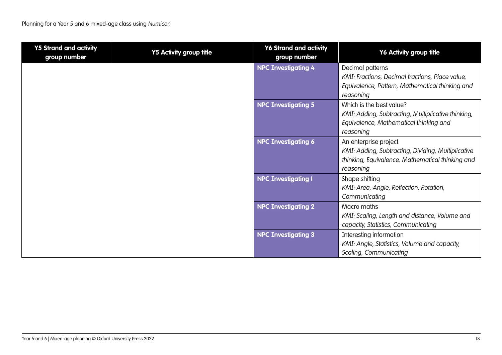| <b>Y5 Strand and activity</b><br>group number | <b>Y5 Activity group title</b> | <b>Y6 Strand and activity</b><br>group number | Y6 Activity group title                                      |
|-----------------------------------------------|--------------------------------|-----------------------------------------------|--------------------------------------------------------------|
|                                               |                                | <b>NPC Investigating 4</b>                    | Decimal patterns                                             |
|                                               |                                |                                               | KMI: Fractions, Decimal fractions, Place value,              |
|                                               |                                |                                               | Equivalence, Pattern, Mathematical thinking and<br>reasoning |
|                                               |                                | <b>NPC Investigating 5</b>                    | Which is the best value?                                     |
|                                               |                                |                                               | KMI: Adding, Subtracting, Multiplicative thinking,           |
|                                               |                                |                                               | Equivalence, Mathematical thinking and<br>reasoning          |
|                                               |                                | <b>NPC Investigating 6</b>                    | An enterprise project                                        |
|                                               |                                |                                               | KMI: Adding, Subtracting, Dividing, Multiplicative           |
|                                               |                                |                                               | thinking, Equivalence, Mathematical thinking and             |
|                                               |                                |                                               | reasoning                                                    |
|                                               |                                | <b>NPC Investigating I</b>                    | Shape shifting                                               |
|                                               |                                |                                               | KMI: Area, Angle, Reflection, Rotation,                      |
|                                               |                                | <b>NPC Investigating 2</b>                    | Communicating<br>Macro maths                                 |
|                                               |                                |                                               | KMI: Scaling, Length and distance, Volume and                |
|                                               |                                |                                               | capacity, Statistics, Communicating                          |
|                                               |                                | <b>NPC Investigating 3</b>                    | Interesting information                                      |
|                                               |                                |                                               | KMI: Angle, Statistics, Volume and capacity,                 |
|                                               |                                |                                               | Scaling, Communicating                                       |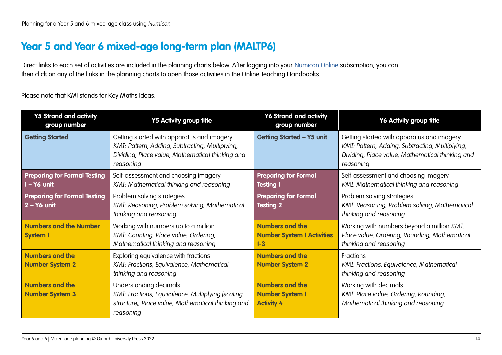### <span id="page-13-0"></span>**Year 5 and Year 6 mixed-age long-term plan (MALTP6)**

Direct links to each set of activities are included in the planning charts below. After logging into your [Numicon Online](https://www.oxfordowl.co.uk/login?active-tab=teachers) subscription, you can then click on any of the links in the planning charts to open those activities in the Online Teaching Handbooks.

Please note that KMI stands for Key Maths Ideas.

| <b>Y5 Strand and activity</b><br>group number        | <b>Y5 Activity group title</b>                                                                                                                                 | <b>Y6 Strand and activity</b><br>group number                          | Y6 Activity group title                                                                                                                                        |
|------------------------------------------------------|----------------------------------------------------------------------------------------------------------------------------------------------------------------|------------------------------------------------------------------------|----------------------------------------------------------------------------------------------------------------------------------------------------------------|
| <b>Getting Started</b>                               | Getting started with apparatus and imagery<br>KMI: Pattern, Adding, Subtracting, Multiplying,<br>Dividing, Place value, Mathematical thinking and<br>reasoning | <b>Getting Started - Y5 unit</b>                                       | Getting started with apparatus and imagery<br>KMI: Pattern, Adding, Subtracting, Multiplying,<br>Dividing, Place value, Mathematical thinking and<br>reasoning |
| <b>Preparing for Formal Testing</b><br>I-Y6 unit     | Self-assessment and choosing imagery<br>KMI: Mathematical thinking and reasoning                                                                               | <b>Preparing for Formal</b><br><b>Testing I</b>                        | Self-assessment and choosing imagery<br>KMI: Mathematical thinking and reasoning                                                                               |
| <b>Preparing for Formal Testing</b><br>$2 - Y6$ unit | Problem solving strategies<br>KMI: Reasoning, Problem solving, Mathematical<br>thinking and reasoning                                                          | <b>Preparing for Formal</b><br><b>Testing 2</b>                        | Problem solving strategies<br>KMI: Reasoning, Problem solving, Mathematical<br>thinking and reasoning                                                          |
| <b>Numbers and the Number</b><br><b>System I</b>     | Working with numbers up to a million<br>KMI: Counting, Place value, Ordering,<br>Mathematical thinking and reasoning                                           | <b>Numbers and the</b><br><b>Number System I Activities</b><br>$I - 3$ | Working with numbers beyond a million KMI:<br>Place value, Ordering, Rounding, Mathematical<br>thinking and reasoning                                          |
| <b>Numbers and the</b><br><b>Number System 2</b>     | Exploring equivalence with fractions<br>KMI: Fractions, Equivalence, Mathematical<br>thinking and reasoning                                                    | <b>Numbers and the</b><br><b>Number System 2</b>                       | Fractions<br>KMI: Fractions, Equivalence, Mathematical<br>thinking and reasoning                                                                               |
| <b>Numbers and the</b><br><b>Number System 3</b>     | Understanding decimals<br>KMI: Fractions, Equivalence, Multiplying (scaling<br>structure), Place value, Mathematical thinking and<br>reasoning                 | <b>Numbers and the</b><br><b>Number System I</b><br><b>Activity 4</b>  | Working with decimals<br>KMI: Place value, Ordering, Rounding,<br>Mathematical thinking and reasoning                                                          |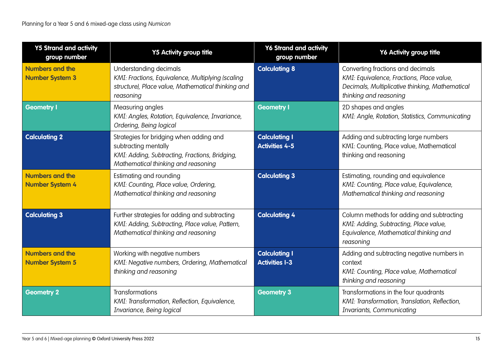| <b>Y5 Strand and activity</b><br>group number    | <b>Y5 Activity group title</b>                                                                                                                           | <b>Y6 Strand and activity</b><br>group number | Y6 Activity group title                                                                                                                                     |
|--------------------------------------------------|----------------------------------------------------------------------------------------------------------------------------------------------------------|-----------------------------------------------|-------------------------------------------------------------------------------------------------------------------------------------------------------------|
| <b>Numbers and the</b><br><b>Number System 3</b> | Understanding decimals<br>KMI: Fractions, Equivalence, Multiplying (scaling<br>structure), Place value, Mathematical thinking and<br>reasoning           | <b>Calculating 8</b>                          | Converting fractions and decimals<br>KMI: Equivalence, Fractions, Place value,<br>Decimals, Multiplicative thinking, Mathematical<br>thinking and reasoning |
| Geometry I                                       | Measuring angles<br>KMI: Angles, Rotation, Equivalence, Invariance,<br>Ordering, Being logical                                                           | <b>Geometry I</b>                             | 2D shapes and angles<br>KMI: Angle, Rotation, Statistics, Communicating                                                                                     |
| <b>Calculating 2</b>                             | Strategies for bridging when adding and<br>subtracting mentally<br>KMI: Adding, Subtracting, Fractions, Bridging,<br>Mathematical thinking and reasoning | <b>Calculating I</b><br><b>Activities 4-5</b> | Adding and subtracting large numbers<br>KMI: Counting, Place value, Mathematical<br>thinking and reasoning                                                  |
| <b>Numbers and the</b><br><b>Number System 4</b> | Estimating and rounding<br>KMI: Counting, Place value, Ordering,<br>Mathematical thinking and reasoning                                                  | <b>Calculating 3</b>                          | Estimating, rounding and equivalence<br>KMI: Counting, Place value, Equivalence,<br>Mathematical thinking and reasoning                                     |
| <b>Calculating 3</b>                             | Further strategies for adding and subtracting<br>KMI: Adding, Subtracting, Place value, Pattern,<br>Mathematical thinking and reasoning                  | <b>Calculating 4</b>                          | Column methods for adding and subtracting<br>KMI: Adding, Subtracting, Place value,<br>Equivalence, Mathematical thinking and<br>reasoning                  |
| <b>Numbers and the</b><br><b>Number System 5</b> | Working with negative numbers<br>KMI: Negative numbers, Ordering, Mathematical<br>thinking and reasoning                                                 | <b>Calculating I</b><br><b>Activities I-3</b> | Adding and subtracting negative numbers in<br>context<br>KMI: Counting, Place value, Mathematical<br>thinking and reasoning                                 |
| <b>Geometry 2</b>                                | <b>Transformations</b><br>KMI: Transformation, Reflection, Equivalence,<br>Invariance, Being logical                                                     | <b>Geometry 3</b>                             | Transformations in the four quadrants<br>KMI: Transformation, Translation, Reflection,<br>Invariants, Communicating                                         |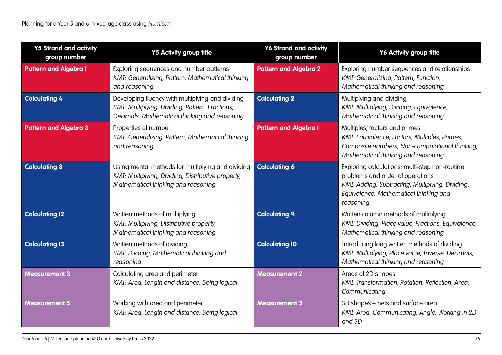| <b>Y5 Strand and activity</b><br>group number | <b>Y5 Activity group title</b>                                                                                                                       | <b>Y6 Strand and activity</b><br>group number | Y6 Activity group title                                                                                                                                                                       |
|-----------------------------------------------|------------------------------------------------------------------------------------------------------------------------------------------------------|-----------------------------------------------|-----------------------------------------------------------------------------------------------------------------------------------------------------------------------------------------------|
| <b>Pattern and Algebra I</b>                  | Exploring sequences and number patterns<br>KMI: Generalizing, Pattern, Mathematical thinking<br>and reasoning                                        | <b>Pattern and Algebra 2</b>                  | Exploring number sequences and relationships<br>KMI: Generalizing, Pattern, Function,<br>Mathematical thinking and reasoning                                                                  |
| <b>Calculating 4</b>                          | Developing fluency with multiplying and dividing<br>KMI: Multiplying, Dividing, Pattern, Fractions,<br>Decimals, Mathematical thinking and reasoning | <b>Calculating 2</b>                          | Multiplying and dividing<br>KMI: Multiplying, Dividing, Equivalence,<br>Mathematical thinking and reasoning                                                                                   |
| <b>Pattern and Algebra 3</b>                  | Properties of number<br>KMI: Generalizing, Pattern, Mathematical thinking<br>and reasoning                                                           | <b>Pattern and Algebra I</b>                  | Multiples, factors and primes<br>KMI: Equivalence, Factors, Multiples, Primes,<br>Composite numbers, Non-computational thinking,<br>Mathematical thinking and reasoning                       |
| <b>Calculating 8</b>                          | Using mental methods for multiplying and dividing<br>KMI: Multiplying, Dividing, Distributive property,<br>Mathematical thinking and reasoning       | <b>Calculating 6</b>                          | Exploring calculations: multi-step non-routine<br>problems and order of operations<br>KMI: Adding, Subtracting, Multiplying, Dividing,<br>Equivalence, Mathematical thinking and<br>reasoning |
| <b>Calculating 12</b>                         | Written methods of multiplying<br>KMI: Multiplying, Distributive property,<br>Mathematical thinking and reasoning                                    | <b>Calculating 9</b>                          | Written column methods of multiplying<br>KMI: Dividing, Place value, Fractions, Equivalence,<br>Mathematical thinking and reasoning                                                           |
| <b>Calculating 13</b>                         | Written methods of dividing<br>KMI: Dividing, Mathematical thinking and<br>reasoning                                                                 | <b>Calculating 10</b>                         | Introducing long written methods of dividing<br>KMI: Multiplying, Place value, Inverse, Decimals,<br>Mathematical thinking and reasoning                                                      |
| <b>Measurement 3</b>                          | Calculating area and perimeter<br>KMI: Area, Length and distance, Being logical                                                                      | <b>Measurement 2</b>                          | Areas of 2D shapes<br>KMI: Transformation, Rotation, Reflection, Area,<br>Communicating                                                                                                       |
| <b>Measurement 5</b>                          | Working with area and perimeter<br>KMI: Area, Length and distance, Being logical                                                                     | <b>Measurement 3</b>                          | 3D shapes - nets and surface area<br>KMI: Area, Communicating, Angle, Working in 2D<br>and 3D                                                                                                 |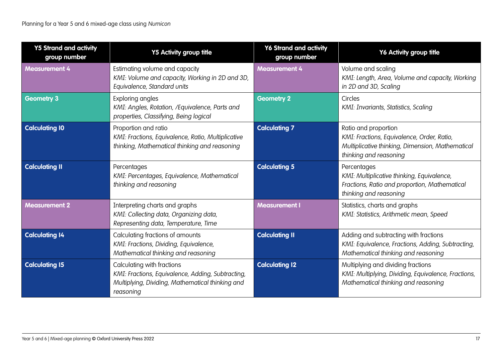| <b>Y5 Strand and activity</b><br>group number | <b>Y5 Activity group title</b>                                                                                                                   | Y6 Strand and activity<br>group number | Y6 Activity group title                                                                                                                          |
|-----------------------------------------------|--------------------------------------------------------------------------------------------------------------------------------------------------|----------------------------------------|--------------------------------------------------------------------------------------------------------------------------------------------------|
| <b>Measurement 4</b>                          | Estimating volume and capacity<br>KMI: Volume and capacity, Working in 2D and 3D,<br>Equivalence, Standard units                                 | <b>Measurement 4</b>                   | Volume and scaling<br>KMI: Length, Area, Volume and capacity, Working<br>in 2D and 3D, Scaling                                                   |
| <b>Geometry 3</b>                             | Exploring angles<br>KMI: Angles, Rotation, /Equivalence, Parts and<br>properties, Classifying, Being logical                                     | <b>Geometry 2</b>                      | Circles<br>KMI: Invariants, Statistics, Scaling                                                                                                  |
| <b>Calculating 10</b>                         | Proportion and ratio<br>KMI: Fractions, Equivalence, Ratio, Multiplicative<br>thinking, Mathematical thinking and reasoning                      | <b>Calculating 7</b>                   | Ratio and proportion<br>KMI: Fractions, Equivalence, Order, Ratio,<br>Multiplicative thinking, Dimension, Mathematical<br>thinking and reasoning |
| <b>Calculating II</b>                         | Percentages<br>KMI: Percentages, Equivalence, Mathematical<br>thinking and reasoning                                                             | <b>Calculating 5</b>                   | Percentages<br>KMI: Multiplicative thinking, Equivalence,<br>Fractions, Ratio and proportion, Mathematical<br>thinking and reasoning             |
| <b>Measurement 2</b>                          | Interpreting charts and graphs<br>KMI: Collecting data, Organizing data,<br>Representing data, Temperature, Time                                 | <b>Measurement I</b>                   | Statistics, charts and graphs<br>KMI: Statistics, Arithmetic mean, Speed                                                                         |
| <b>Calculating 14</b>                         | Calculating fractions of amounts<br>KMI: Fractions, Dividing, Equivalence,<br>Mathematical thinking and reasoning                                | <b>Calculating II</b>                  | Adding and subtracting with fractions<br>KMI: Equivalence, Fractions, Adding, Subtracting,<br>Mathematical thinking and reasoning                |
| <b>Calculating 15</b>                         | Calculating with fractions<br>KMI: Fractions, Equivalence, Adding, Subtracting,<br>Multiplying, Dividing, Mathematical thinking and<br>reasoning | <b>Calculating 12</b>                  | Multiplying and dividing fractions<br>KMI: Multiplying, Dividing, Equivalence, Fractions,<br>Mathematical thinking and reasoning                 |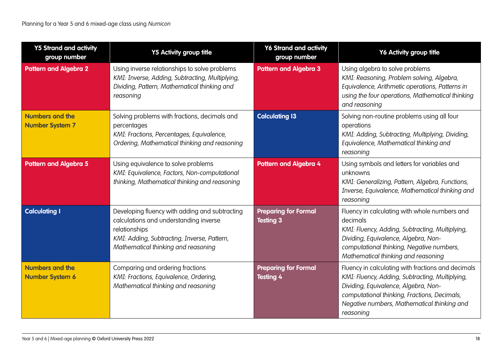| <b>Y5 Strand and activity</b><br>group number    | <b>Y5 Activity group title</b>                                                                                                                                                                  | <b>Y6 Strand and activity</b><br>group number   | Y6 Activity group title                                                                                                                                                                                                                                   |
|--------------------------------------------------|-------------------------------------------------------------------------------------------------------------------------------------------------------------------------------------------------|-------------------------------------------------|-----------------------------------------------------------------------------------------------------------------------------------------------------------------------------------------------------------------------------------------------------------|
| <b>Pattern and Algebra 2</b>                     | Using inverse relationships to solve problems<br>KMI: Inverse, Adding, Subtracting, Multiplying,<br>Dividing, Pattern, Mathematical thinking and<br>reasoning                                   | <b>Pattern and Algebra 3</b>                    | Using algebra to solve problems<br>KMI: Reasoning, Problem solving, Algebra,<br>Equivalence, Arithmetic operations, Patterns in<br>using the four operations, Mathematical thinking<br>and reasoning                                                      |
| <b>Numbers and the</b><br><b>Number System 7</b> | Solving problems with fractions, decimals and<br>percentages<br>KMI: Fractions, Percentages, Equivalence,<br>Ordering, Mathematical thinking and reasoning                                      | <b>Calculating 13</b>                           | Solving non-routine problems using all four<br>operations<br>KMI: Adding, Subtracting, Multiplying, Dividing,<br>Equivalence, Mathematical thinking and<br>reasoning                                                                                      |
| <b>Pattern and Algebra 5</b>                     | Using equivalence to solve problems<br>KMI: Equivalence, Factors, Non-computational<br>thinking, Mathematical thinking and reasoning                                                            | <b>Pattern and Algebra 4</b>                    | Using symbols and letters for variables and<br>unknowns<br>KMI: Generalizing, Pattern, Algebra, Functions,<br>Inverse, Equivalence, Mathematical thinking and<br>reasoning                                                                                |
| <b>Calculating I</b>                             | Developing fluency with adding and subtracting<br>calculations and understanding inverse<br>relationships<br>KMI: Adding, Subtracting, Inverse, Pattern,<br>Mathematical thinking and reasoning | <b>Preparing for Formal</b><br><b>Testing 3</b> | Fluency in calculating with whole numbers and<br>decimals<br>KMI: Fluency, Adding, Subtracting, Multiplying,<br>Dividing, Equivalence, Algebra, Non-<br>computational thinking, Negative numbers,<br>Mathematical thinking and reasoning                  |
| <b>Numbers and the</b><br><b>Number System 6</b> | Comparing and ordering fractions<br>KMI: Fractions, Equivalence, Ordering,<br>Mathematical thinking and reasoning                                                                               | <b>Preparing for Formal</b><br><b>Testing 4</b> | Fluency in calculating with fractions and decimals<br>KMI: Fluency, Adding, Subtracting, Multiplying,<br>Dividing, Equivalence, Algebra, Non-<br>computational thinking, Fractions, Decimals,<br>Negative numbers, Mathematical thinking and<br>reasoning |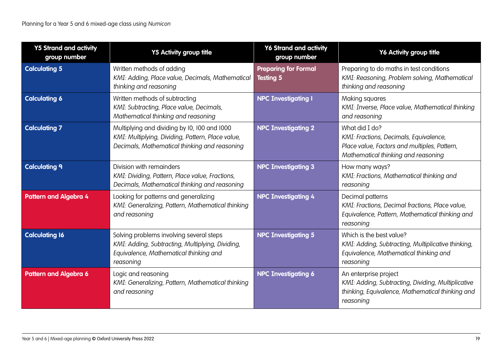| <b>Y5 Strand and activity</b><br>group number | <b>Y5 Activity group title</b>                                                                                                                      | <b>Y6 Strand and activity</b><br>group number   | Y6 Activity group title                                                                                                                         |
|-----------------------------------------------|-----------------------------------------------------------------------------------------------------------------------------------------------------|-------------------------------------------------|-------------------------------------------------------------------------------------------------------------------------------------------------|
| <b>Calculating 5</b>                          | Written methods of adding<br>KMI: Adding, Place value, Decimals, Mathematical<br>thinking and reasoning                                             | <b>Preparing for Formal</b><br><b>Testing 5</b> | Preparing to do maths in test conditions<br>KMI: Reasoning, Problem solving, Mathematical<br>thinking and reasoning                             |
| <b>Calculating 6</b>                          | Written methods of subtracting<br>KMI: Subtracting, Place value, Decimals,<br>Mathematical thinking and reasoning                                   | <b>NPC Investigating I</b>                      | Making squares<br>KMI: Inverse, Place value, Mathematical thinking<br>and reasoning                                                             |
| <b>Calculating 7</b>                          | Multiplying and dividing by 10, 100 and 1000<br>KMI: Multiplying, Dividing, Pattern, Place value,<br>Decimals, Mathematical thinking and reasoning  | <b>NPC Investigating 2</b>                      | What did I do?<br>KMI: Fractions, Decimals, Equivalence,<br>Place value, Factors and multiples, Pattern,<br>Mathematical thinking and reasoning |
| <b>Calculating 9</b>                          | Division with remainders<br>KMI: Dividing, Pattern, Place value, Fractions,<br>Decimals, Mathematical thinking and reasoning                        | <b>NPC Investigating 3</b>                      | How many ways?<br>KMI: Fractions, Mathematical thinking and<br>reasoning                                                                        |
| <b>Pattern and Algebra 4</b>                  | Looking for patterns and generalizing<br>KMI: Generalizing, Pattern, Mathematical thinking<br>and reasoning                                         | <b>NPC Investigating 4</b>                      | Decimal patterns<br>KMI: Fractions, Decimal fractions, Place value,<br>Equivalence, Pattern, Mathematical thinking and<br>reasoning             |
| <b>Calculating 16</b>                         | Solving problems involving several steps<br>KMI: Adding, Subtracting, Multiplying, Dividing,<br>Equivalence, Mathematical thinking and<br>reasoning | <b>NPC Investigating 5</b>                      | Which is the best value?<br>KMI: Adding, Subtracting, Multiplicative thinking,<br>Equivalence, Mathematical thinking and<br>reasoning           |
| <b>Pattern and Algebra 6</b>                  | Logic and reasoning<br>KMI: Generalizing, Pattern, Mathematical thinking<br>and reasoning                                                           | <b>NPC Investigating 6</b>                      | An enterprise project<br>KMI: Adding, Subtracting, Dividing, Multiplicative<br>thinking, Equivalence, Mathematical thinking and<br>reasoning    |